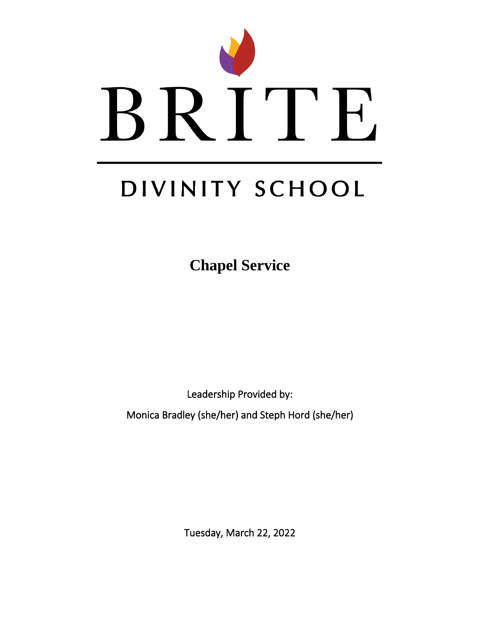

# DIVINITY SCHOOL

**Chapel Service** 

Leadership Provided by:

Monica Bradley (she/her) and Steph Hord (she/her)

Tuesday, March 22, 2022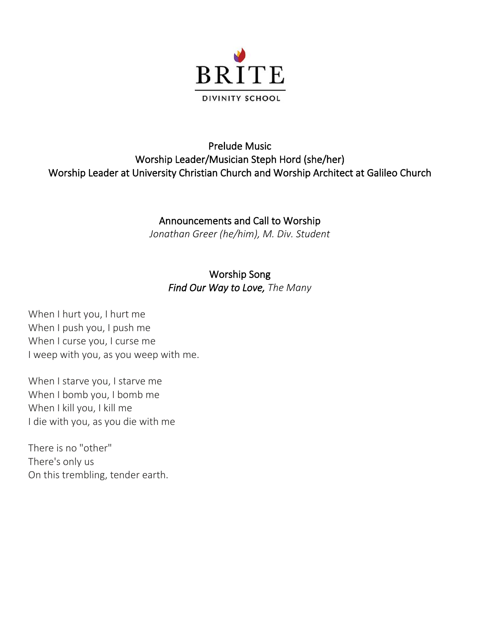

# Prelude Music Worship Leader/Musician Steph Hord (she/her) Worship Leader at University Christian Church and Worship Architect at Galileo Church

## Announcements and Call to Worship

*Jonathan Greer (he/him), M. Div. Student*

# Worship Song *Find Our Way to Love, The Many*

When I hurt you, I hurt me When I push you, I push me When I curse you, I curse me I weep with you, as you weep with me.

When I starve you, I starve me When I bomb you, I bomb me When I kill you, I kill me I die with you, as you die with me

There is no "other" There's only us On this trembling, tender earth.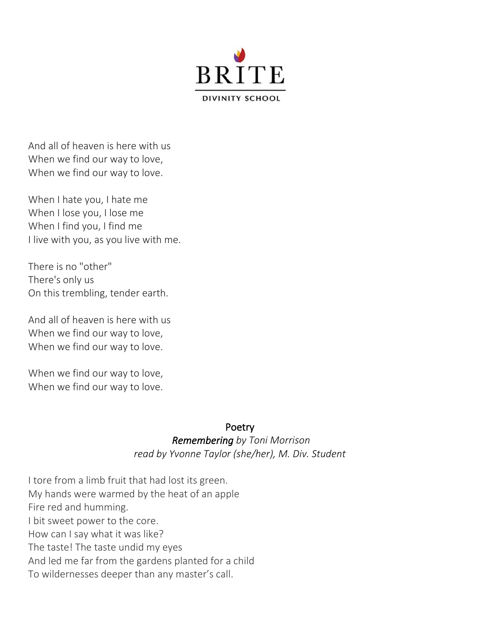

And all of heaven is here with us When we find our way to love, When we find our way to love.

When I hate you, I hate me When I lose you, I lose me When I find you, I find me I live with you, as you live with me.

There is no "other" There's only us On this trembling, tender earth.

And all of heaven is here with us When we find our way to love, When we find our way to love.

When we find our way to love, When we find our way to love.

#### Poetry

# *Remembering by Toni Morrison read by Yvonne Taylor (she/her), M. Div. Student*

I tore from a limb fruit that had lost its green. My hands were warmed by the heat of an apple Fire red and humming. I bit sweet power to the core. How can I say what it was like? The taste! The taste undid my eyes And led me far from the gardens planted for a child To wildernesses deeper than any master's call.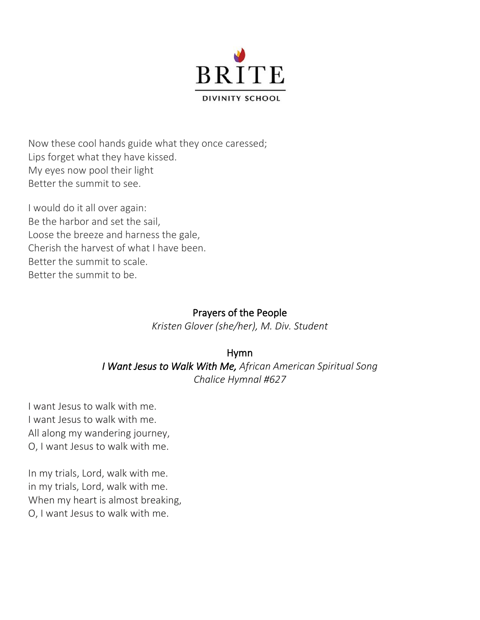

Now these cool hands guide what they once caressed; Lips forget what they have kissed. My eyes now pool their light Better the summit to see.

I would do it all over again: Be the harbor and set the sail, Loose the breeze and harness the gale, Cherish the harvest of what I have been. Better the summit to scale. Better the summit to be.

#### Prayers of the People

*Kristen Glover (she/her), M. Div. Student*

#### Hymn

*I Want Jesus to Walk With Me, African American Spiritual Song Chalice Hymnal #627*

I want Jesus to walk with me. I want Jesus to walk with me. All along my wandering journey, O, I want Jesus to walk with me.

In my trials, Lord, walk with me. in my trials, Lord, walk with me. When my heart is almost breaking, O, I want Jesus to walk with me.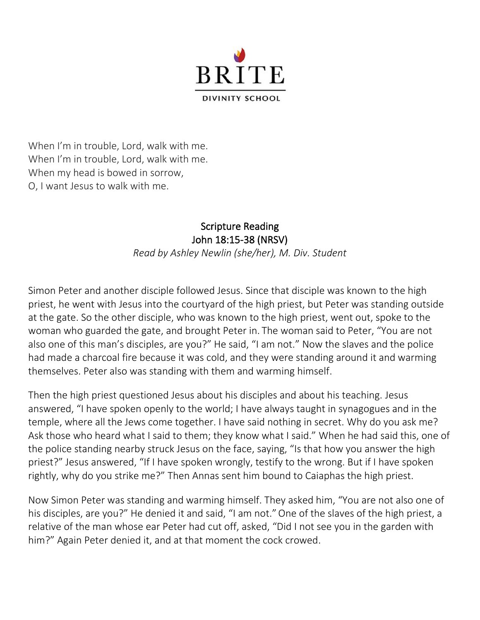

When I'm in trouble, Lord, walk with me. When I'm in trouble, Lord, walk with me. When my head is bowed in sorrow, O, I want Jesus to walk with me.

## Scripture Reading John 18:15-38 (NRSV)

*Read by Ashley Newlin (she/her), M. Div. Student*

Simon Peter and another disciple followed Jesus. Since that disciple was known to the high priest, he went with Jesus into the courtyard of the high priest, but Peter was standing outside at the gate. So the other disciple, who was known to the high priest, went out, spoke to the woman who guarded the gate, and brought Peter in. The woman said to Peter, "You are not also one of this man's disciples, are you?" He said, "I am not." Now the slaves and the police had made a charcoal fire because it was cold, and they were standing around it and warming themselves. Peter also was standing with them and warming himself.

Then the high priest questioned Jesus about his disciples and about his teaching. Jesus answered, "I have spoken openly to the world; I have always taught in synagogues and in the temple, where all the Jews come together. I have said nothing in secret. Why do you ask me? Ask those who heard what I said to them; they know what I said." When he had said this, one of the police standing nearby struck Jesus on the face, saying, "Is that how you answer the high priest?" Jesus answered, "If I have spoken wrongly, testify to the wrong. But if I have spoken rightly, why do you strike me?" Then Annas sent him bound to Caiaphas the high priest.

Now Simon Peter was standing and warming himself. They asked him, "You are not also one of his disciples, are you?" He denied it and said, "I am not." One of the slaves of the high priest, a relative of the man whose ear Peter had cut off, asked, "Did I not see you in the garden with him?" Again Peter denied it, and at that moment the cock crowed.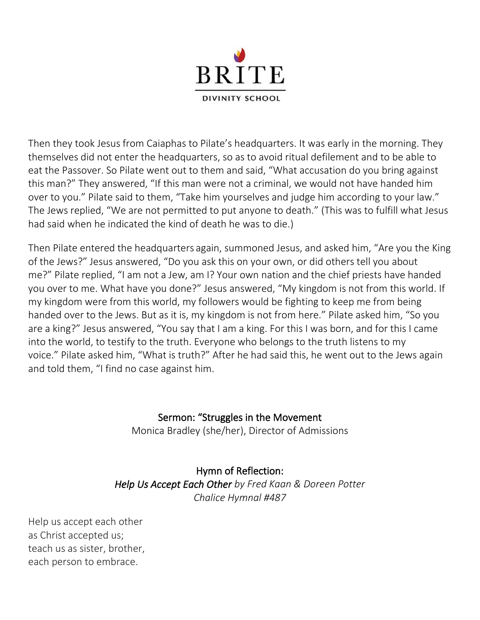

Then they took Jesus from Caiaphas to Pilate's headquarters. It was early in the morning. They themselves did not enter the headquarters, so as to avoid ritual defilement and to be able to eat the Passover. So Pilate went out to them and said, "What accusation do you bring against this man?" They answered, "If this man were not a criminal, we would not have handed him over to you." Pilate said to them, "Take him yourselves and judge him according to your law." The Jews replied, "We are not permitted to put anyone to death." (This was to fulfill what Jesus had said when he indicated the kind of death he was to die.)

Then Pilate entered the headquarters again, summoned Jesus, and asked him, "Are you the King of the Jews?" Jesus answered, "Do you ask this on your own, or did others tell you about me?" Pilate replied, "I am not a Jew, am I? Your own nation and the chief priests have handed you over to me. What have you done?" Jesus answered, "My kingdom is not from this world. If my kingdom were from this world, my followers would be fighting to keep me from being handed over to the Jews. But as it is, my kingdom is not from here." Pilate asked him, "So you are a king?" Jesus answered, "You say that I am a king. For this I was born, and for this I came into the world, to testify to the truth. Everyone who belongs to the truth listens to my voice." Pilate asked him, "What is truth?" After he had said this, he went out to the Jews again and told them, "I find no case against him.

# Sermon: "Struggles in the Movement

Monica Bradley (she/her), Director of Admissions

Hymn of Reflection: *Help Us Accept Each Other by Fred Kaan & Doreen Potter*

*Chalice Hymnal #487*

Help us accept each other as Christ accepted us; teach us as sister, brother, each person to embrace.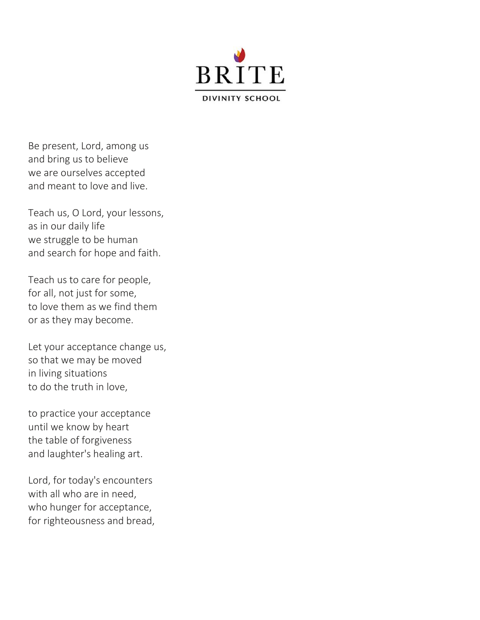

Be present, Lord, among us and bring us to believe we are ourselves accepted and meant to love and live.

Teach us, O Lord, your lessons, as in our daily life we struggle to be human and search for hope and faith.

Teach us to care for people, for all, not just for some, to love them as we find them or as they may become.

Let your acceptance change us, so that we may be moved in living situations to do the truth in love,

to practice your acceptance until we know by heart the table of forgiveness and laughter's healing art.

Lord, for today's encounters with all who are in need, who hunger for acceptance, for righteousness and bread,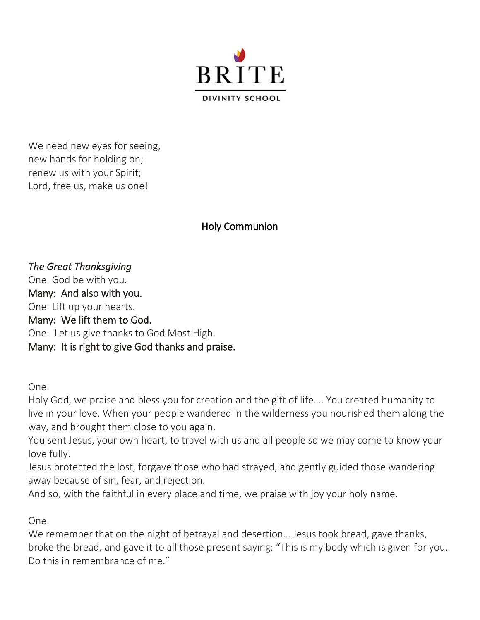

We need new eyes for seeing, new hands for holding on; renew us with your Spirit; Lord, free us, make us one!

## Holy Communion

*The Great Thanksgiving* One: God be with you. Many: And also with you. One: Lift up your hearts. Many: We lift them to God. One: Let us give thanks to God Most High. Many: It is right to give God thanks and praise.

One:

Holy God, we praise and bless you for creation and the gift of life…. You created humanity to live in your love. When your people wandered in the wilderness you nourished them along the way, and brought them close to you again.

You sent Jesus, your own heart, to travel with us and all people so we may come to know your love fully.

Jesus protected the lost, forgave those who had strayed, and gently guided those wandering away because of sin, fear, and rejection.

And so, with the faithful in every place and time, we praise with joy your holy name.

One:

We remember that on the night of betrayal and desertion… Jesus took bread, gave thanks, broke the bread, and gave it to all those present saying: "This is my body which is given for you. Do this in remembrance of me."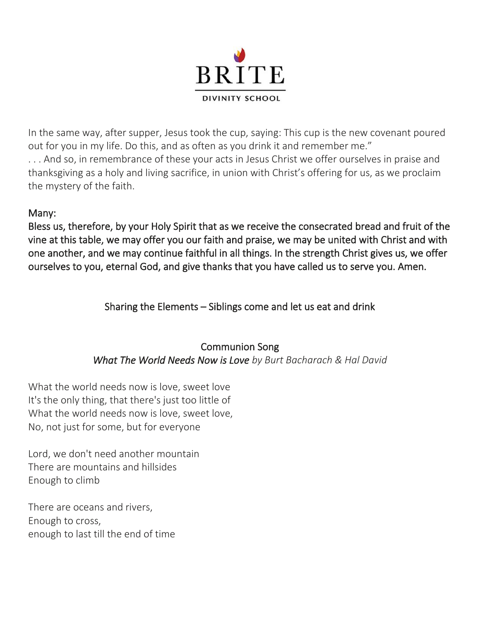

In the same way, after supper, Jesus took the cup, saying: This cup is the new covenant poured out for you in my life. Do this, and as often as you drink it and remember me." . . . And so, in remembrance of these your acts in Jesus Christ we offer ourselves in praise and thanksgiving as a holy and living sacrifice, in union with Christ's offering for us, as we proclaim the mystery of the faith.

#### Many:

Bless us, therefore, by your Holy Spirit that as we receive the consecrated bread and fruit of the vine at this table, we may offer you our faith and praise, we may be united with Christ and with one another, and we may continue faithful in all things. In the strength Christ gives us, we offer ourselves to you, eternal God, and give thanks that you have called us to serve you. Amen.

# Sharing the Elements – Siblings come and let us eat and drink

# Communion Song

#### *What The World Needs Now is Love by Burt Bacharach & Hal David*

What the world needs now is love, sweet love It's the only thing, that there's just too little of What the world needs now is love, sweet love, No, not just for some, but for everyone

Lord, we don't need another mountain There are mountains and hillsides Enough to climb

There are oceans and rivers, Enough to cross, enough to last till the end of time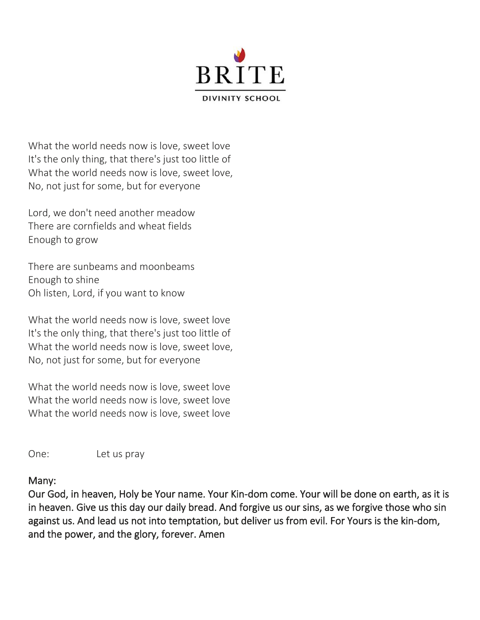

What the world needs now is love, sweet love It's the only thing, that there's just too little of What the world needs now is love, sweet love, No, not just for some, but for everyone

Lord, we don't need another meadow There are cornfields and wheat fields Enough to grow

There are sunbeams and moonbeams Enough to shine Oh listen, Lord, if you want to know

What the world needs now is love, sweet love It's the only thing, that there's just too little of What the world needs now is love, sweet love, No, not just for some, but for everyone

What the world needs now is love, sweet love What the world needs now is love, sweet love What the world needs now is love, sweet love

One: Let us pray

#### Many:

Our God, in heaven, Holy be Your name. Your Kin-dom come. Your will be done on earth, as it is in heaven. Give us this day our daily bread. And forgive us our sins, as we forgive those who sin against us. And lead us not into temptation, but deliver us from evil. For Yours is the kin-dom, and the power, and the glory, forever. Amen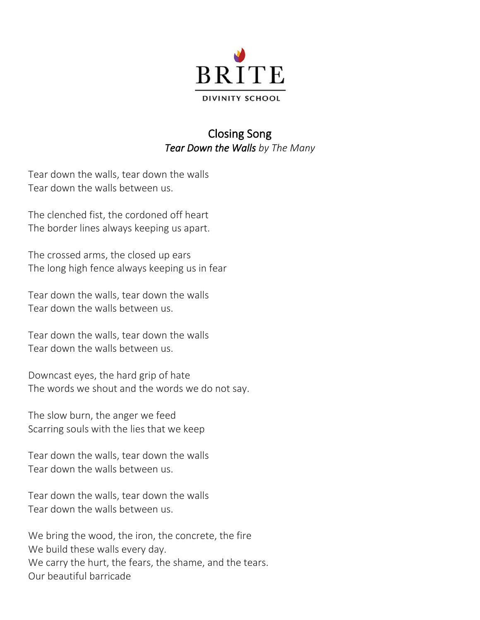

# Closing Song *Tear Down the Walls by The Many*

Tear down the walls, tear down the walls Tear down the walls between us.

The clenched fist, the cordoned off heart The border lines always keeping us apart.

The crossed arms, the closed up ears The long high fence always keeping us in fear

Tear down the walls, tear down the walls Tear down the walls between us.

Tear down the walls, tear down the walls Tear down the walls between us.

Downcast eyes, the hard grip of hate The words we shout and the words we do not say.

The slow burn, the anger we feed Scarring souls with the lies that we keep

Tear down the walls, tear down the walls Tear down the walls between us.

Tear down the walls, tear down the walls Tear down the walls between us.

We bring the wood, the iron, the concrete, the fire We build these walls every day. We carry the hurt, the fears, the shame, and the tears. Our beautiful barricade